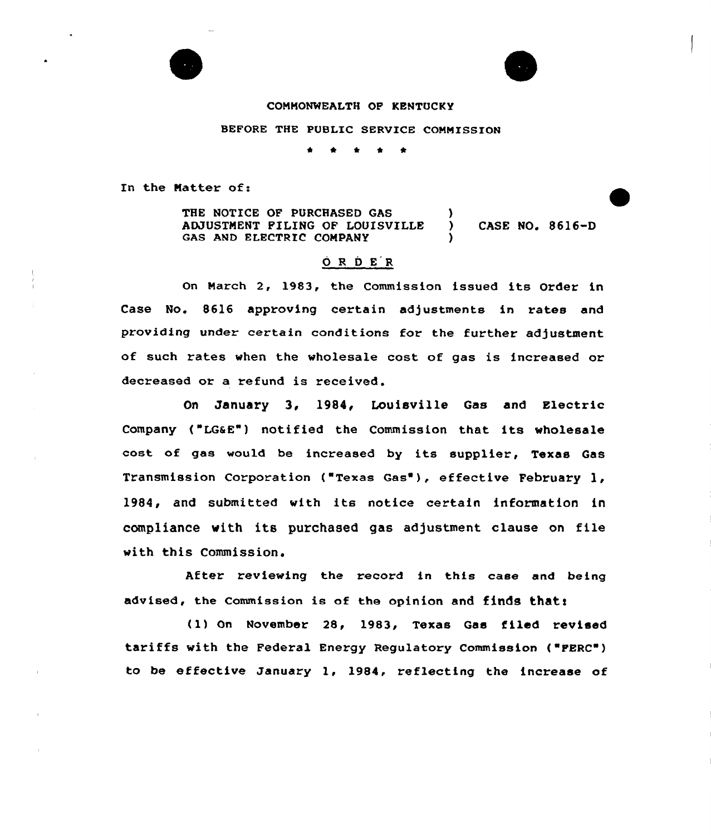

## CONMOWMEALTH OF KENTUCKY

BEFORE THE PUBLIC SERVICE COMMISSION

 $\bullet$  $\bullet$ 

In the Natter of:

THE NOTICE OF PURCHASED GAS (3) ADJUSTMENT FILING OF LOUISVILLE ) CASE NO. 8616-D GAS AND ELECTRIC COMPANY

## 0 <sup>R</sup> <sup>D</sup> <sup>E</sup> <sup>R</sup>

On March 2, 1983, the Commission issued its Order in Case No. 86l6 approving certain adjustments in rates and providing under certain conditions for the further adjustment of such rates when the wholesale cost of gas is increased or decreased or a refund is received.

On January 3, 1984, Louisville Gas and Electric Company ("LGaE") notified the Commission that its wholesale cost of gas would be increased by its supplier, Texas Gas Transmission Corporation ("Texas Gas"), effective February 1, 1984, and submitted with its notice certain information in compliance with its purchased gas adjustment clause on file with this Commission.

After reviewing the record in this case and being advised, the Commission is of the opinion and finds that:

(1) On November 28, 1983, Texas Gas filed revised tariffs with the Federal Energy Regulatory Commission ("FERC") to be effective January 1, 1984, reflecting the increase of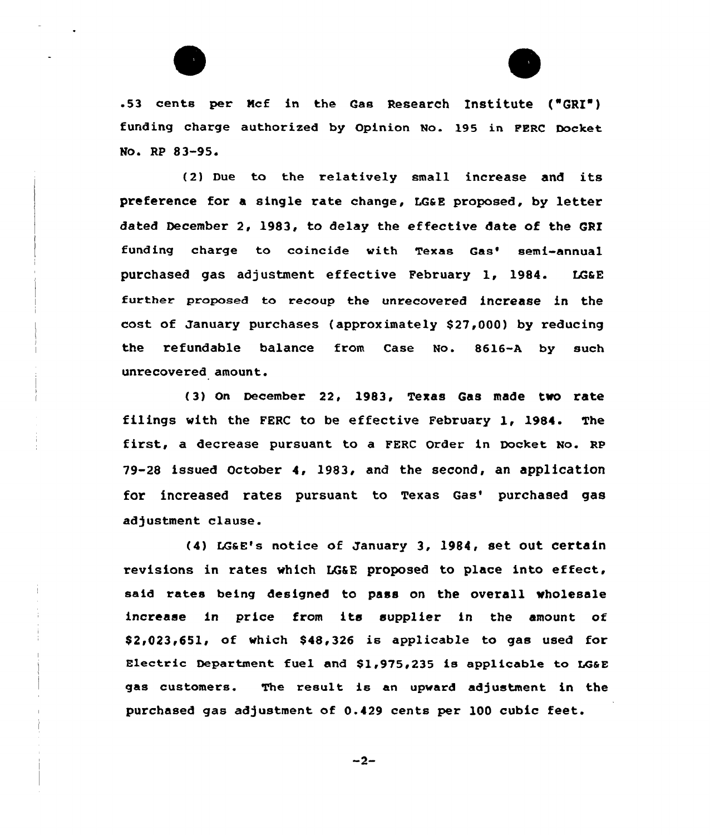

.53 cents per Ncf in the Qae Research Institute {"GRI ) funding charge authorized by Opinion No. 195 in PERC Docket No. Rp 83-95.

(2) Due to the relatively small increase and its preference for a single rate change, LGaE proposed, by letter dated December 2, 1983, to delay the effective date of the CRI funding charge to coincide with Texas Gas' semi-annual purchased gas adjustment effective February 1, 1984. LG&E further proposed to recoup the unrecovered increase in the cost of January purchases (approximately \$27,000) by reducing the refundable balance from Case No. 8616-A by such unrecovered amount.

(3) On December 22, 1983, Texas Cas made two rate filings with the PERC to be effective February 1, 1984. The first, a decrease pursuant to <sup>a</sup> FERC Order in Docket No. RP 79-28 issued October 4, 1983, and the second, an application for increased rates pursuant to Texas Gas' purchased gas adjustment clause.

(4) LGaE's notice of January 3, 1984, set out certain revisions in rates which LGaE proposed to place into effect, said rates being designed to pass on the overall wholesale increase in price from its supplier in the amount of  $$2,023,651$ , of which  $$48,326$  is applicable to gas used for Electric Department fuel and \$1,975,235 is applicable to LGGE gas customers. The result ie an upward adjustment in the purchased gas adjustment of 0.429 cents per 100 cubic feet.

 $-2-$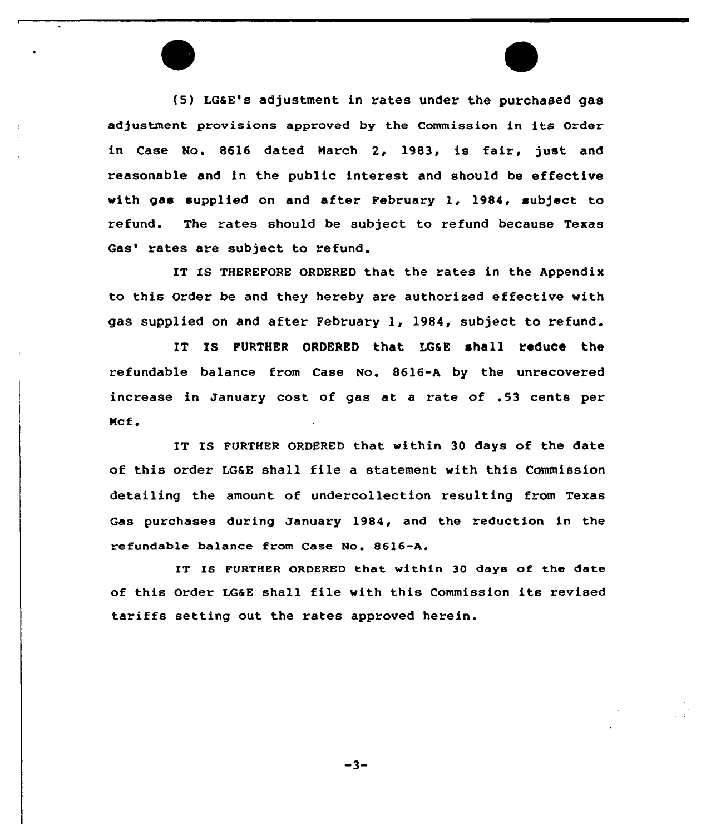(5) LGaE's adjustment in rates under the purchased gas adjustment provisions approved by the Commission in its Order in Case No. 8616 dated Narch 2, 1983, is fair, just and reasonable and in the public interest and should be effective with gas supplied on and after February 1, 1984, subject to refund. The rates should be subject to refund because Texas Gas' rates are subject to refund.

IT IS THEREFORE ORDERED that the rates in the Appendix to this Order be and they hereby are authorized effective with gas supplied on and after February 1, 1984, subject to refund.

IT IS FURTHER ORDERED that LGaE shall reduce the refundable balance from Case No. 8616-A by the unrecovered increase in January cost of gas at a rate of .53 cents per Mcf.

IT IS FURTHER ORDERED that within 30 days of the date of this order LGaE shall file a statement with this Commission detailing the amount of undercollection resulting from Texas Gas purchases during January 1984, and the reduction in the refundable balance from Case No. 8616-A.

IT IS FURTHER ORDERED that within 30 daye of the date of this Order LGaE shall file with this Commission its revised tariffs setting out the rates approved herein.

 $-3-$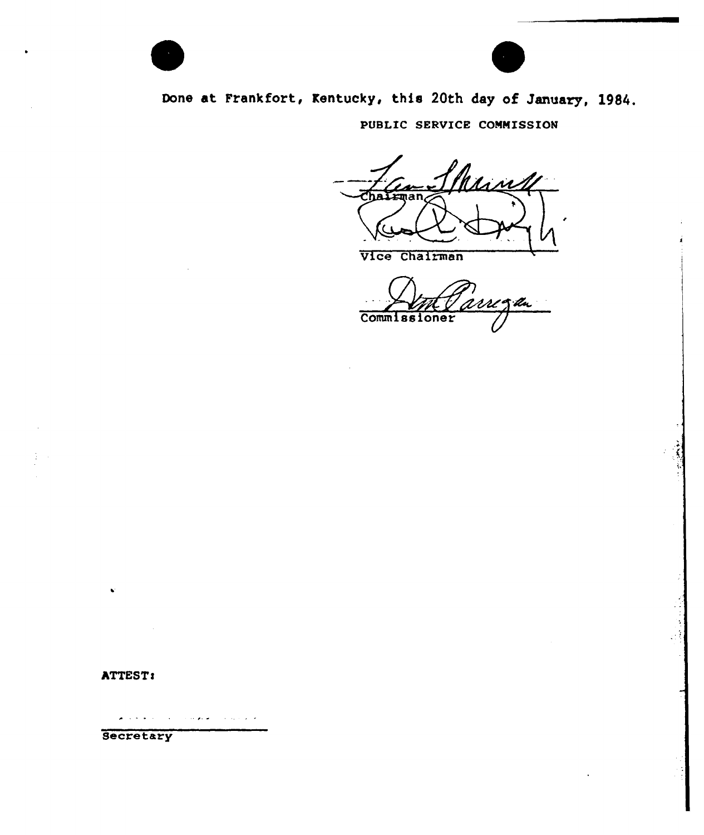

## Done at Frankfort, Kentucky, this 20th day of January, 1984.

PUBLIC SERVICE COMMISSION

Mint haĭ **Eman** 

Vice Chairmen

MM Siln Commissioner

ATTEST:

المتعاطي والمستمر والمتناوب والمستحدث

**Secretary**